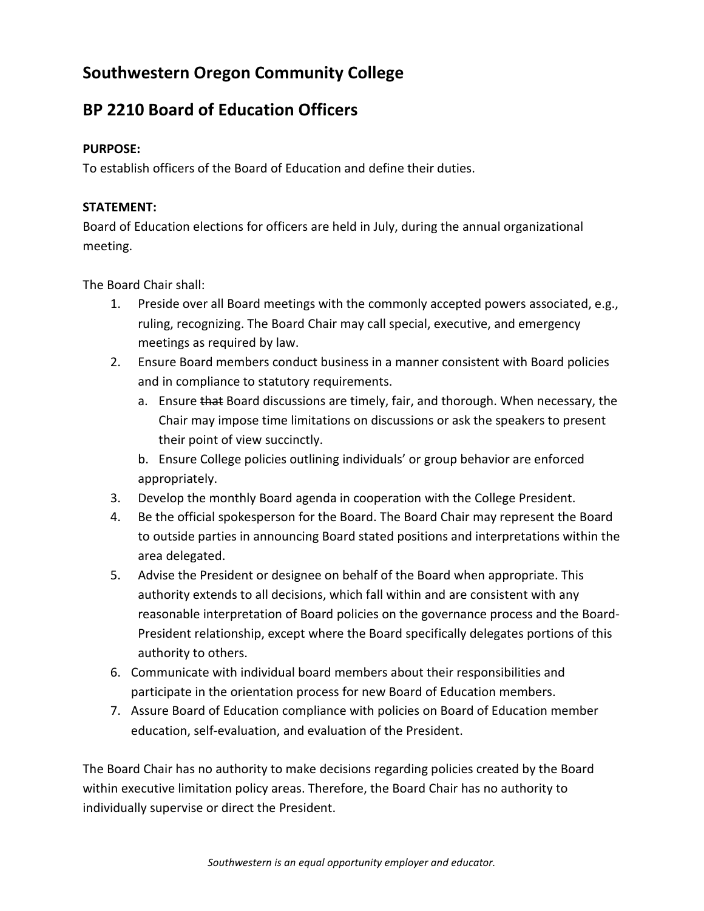# **Southwestern Oregon Community College**

# **BP 2210 Board of Education Officers**

### **PURPOSE:**

To establish officers of the Board of Education and define their duties.

### **STATEMENT:**

Board of Education elections for officers are held in July, during the annual organizational meeting.

The Board Chair shall:

- 1. Preside over all Board meetings with the commonly accepted powers associated, e.g., ruling, recognizing. The Board Chair may call special, executive, and emergency meetings as required by law.
- 2. Ensure Board members conduct business in a manner consistent with Board policies and in compliance to statutory requirements.
	- a. Ensure that Board discussions are timely, fair, and thorough. When necessary, the Chair may impose time limitations on discussions or ask the speakers to present their point of view succinctly.
	- b. Ensure College policies outlining individuals' or group behavior are enforced appropriately.
- 3. Develop the monthly Board agenda in cooperation with the College President.
- 4. Be the official spokesperson for the Board. The Board Chair may represent the Board to outside parties in announcing Board stated positions and interpretations within the area delegated.
- 5. Advise the President or designee on behalf of the Board when appropriate. This authority extends to all decisions, which fall within and are consistent with any reasonable interpretation of Board policies on the governance process and the Board-President relationship, except where the Board specifically delegates portions of this authority to others.
- 6. Communicate with individual board members about their responsibilities and participate in the orientation process for new Board of Education members.
- 7. Assure Board of Education compliance with policies on Board of Education member education, self-evaluation, and evaluation of the President.

The Board Chair has no authority to make decisions regarding policies created by the Board within executive limitation policy areas. Therefore, the Board Chair has no authority to individually supervise or direct the President.